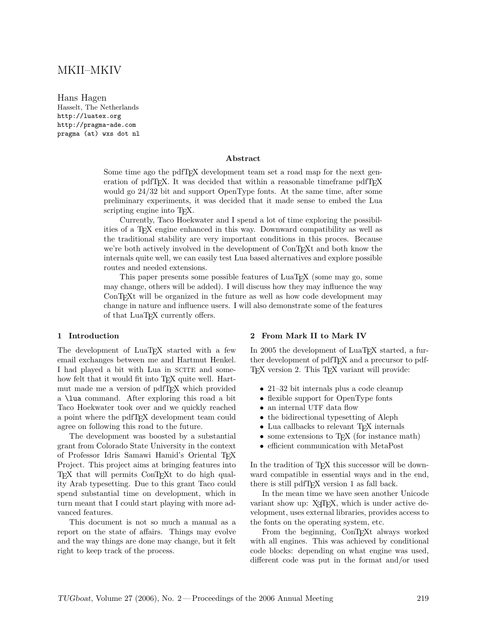# MKII–MKIV

Hans Hagen Hasselt, The Netherlands http://luatex.org http://pragma-ade.com pragma (at) wxs dot nl

### **Abstract**

Some time ago the pdfT<sub>E</sub>X development team set a road map for the next generation of pdfT<sub>E</sub>X. It was decided that within a reasonable timeframe pdfT<sub>E</sub>X would go 24/32 bit and support OpenType fonts. At the same time, after some preliminary experiments, it was decided that it made sense to embed the Lua scripting engine into T<sub>F</sub>X.

Currently, Taco Hoekwater and I spend a lot of time exploring the possibilities of a TEX engine enhanced in this way. Downward compatibility as well as the traditional stability are very important conditions in this proces. Because we're both actively involved in the development of ConT<sub>E</sub>Xt and both know the internals quite well, we can easily test Lua based alternatives and explore possible routes and needed extensions.

This paper presents some possible features of LuaTEX (some may go, some may change, others will be added). I will discuss how they may influence the way ConTEXt will be organized in the future as well as how code development may change in nature and influence users. I will also demonstrate some of the features of that LuaT<sub>E</sub>X currently offers.

#### **1 Introduction**

The development of LuaT<sub>EX</sub> started with a few email exchanges between me and Hartmut Henkel. I had played a bit with Lua in SCITE and somehow felt that it would fit into T<sub>E</sub>X quite well. Hartmut made me a version of pdfT<sub>F</sub>X which provided a \lua command. After exploring this road a bit Taco Hoekwater took over and we quickly reached a point where the pdfTEX development team could agree on following this road to the future.

The development was boosted by a substantial grant from Colorado State University in the context of Professor Idris Samawi Hamid's Oriental TFX Project. This project aims at bringing features into TEX that will permits ConTEXt to do high quality Arab typesetting. Due to this grant Taco could spend substantial time on development, which in turn meant that I could start playing with more advanced features.

This document is not so much a manual as a report on the state of affairs. Things may evolve and the way things are done may change, but it felt right to keep track of the process.

#### **2 From Mark II to Mark IV**

In 2005 the development of LuaT<sub>EX</sub> started, a further development of pdfT<sub>E</sub>X and a precursor to pdf-TEX version 2. This TEX variant will provide:

- 21–32 bit internals plus a code cleanup
- flexible support for OpenType fonts
- an internal UTF data flow
- the bidirectional typesetting of Aleph
- Lua callbacks to relevant T<sub>F</sub>X internals
- some extensions to T<sub>E</sub>X (for instance math)
- efficient communication with MetaPost

In the tradition of T<sub>E</sub>X this successor will be downward compatible in essential ways and in the end, there is still pdfT<sub>E</sub>X version 1 as fall back.

In the mean time we have seen another Unicode variant show up:  $X \oplus Y$ , which is under active development, uses external libraries, provides access to the fonts on the operating system, etc.

From the beginning, ConT<sub>EXt</sub> always worked with all engines. This was achieved by conditional code blocks: depending on what engine was used, different code was put in the format and/or used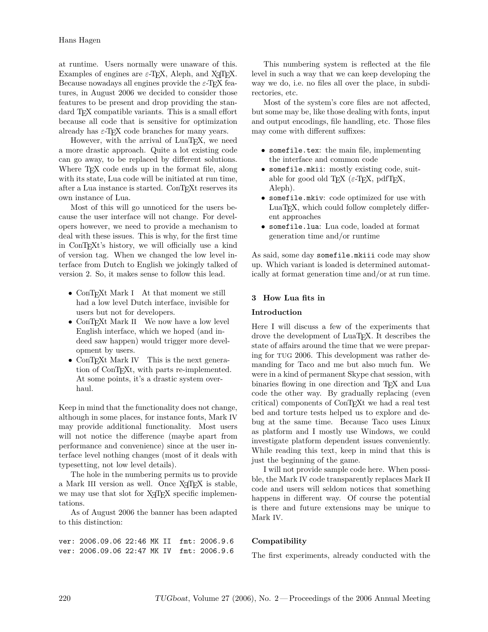at runtime. Users normally were unaware of this. Examples of engines are  $\varepsilon$ -T<sub>E</sub>X, Aleph, and X<sub>T</sub>T<sub>E</sub>X. Because nowadays all engines provide the  $\varepsilon$ -T<sub>E</sub>X features, in August 2006 we decided to consider those features to be present and drop providing the standard T<sub>EX</sub> compatible variants. This is a small effort because all code that is sensitive for optimization already has  $\varepsilon$ -T<sub>E</sub>X code branches for many years.

However, with the arrival of  $LuaT<sub>F</sub>X$ , we need a more drastic approach. Quite a lot existing code can go away, to be replaced by different solutions. Where T<sub>E</sub>X code ends up in the format file, along with its state, Lua code will be initiated at run time, after a Lua instance is started. ConTEXt reserves its own instance of Lua.

Most of this will go unnoticed for the users because the user interface will not change. For developers however, we need to provide a mechanism to deal with these issues. This is why, for the first time in ConTEXt's history, we will officially use a kind of version tag. When we changed the low level interface from Dutch to English we jokingly talked of version 2. So, it makes sense to follow this lead.

- ConTEXt Mark I At that moment we still had a low level Dutch interface, invisible for users but not for developers.
- ConT<sub>EX</sub>t Mark II We now have a low level English interface, which we hoped (and indeed saw happen) would trigger more development by users.
- ConTEXt Mark IV This is the next generation of ConT<sub>EX</sub>t, with parts re-implemented. At some points, it's a drastic system overhaul.

Keep in mind that the functionality does not change, although in some places, for instance fonts, Mark IV may provide additional functionality. Most users will not notice the difference (maybe apart from performance and convenience) since at the user interface level nothing changes (most of it deals with typesetting, not low level details).

The hole in the numbering permits us to provide a Mark III version as well. Once  $X \oplus T$ FX is stable, we may use that slot for  $X \nsubseteq T$  specific implementations.

As of August 2006 the banner has been adapted to this distinction:

ver: 2006.09.06 22:46 MK II fmt: 2006.9.6 ver: 2006.09.06 22:47 MK IV fmt: 2006.9.6

This numbering system is reflected at the file level in such a way that we can keep developing the way we do, i.e. no files all over the place, in subdirectories, etc.

Most of the system's core files are not affected, but some may be, like those dealing with fonts, input and output encodings, file handling, etc. Those files may come with different suffixes:

- somefile.tex: the main file, implementing the interface and common code
- somefile.mkii: mostly existing code, suitable for good old T<sub>E</sub>X ( $\varepsilon$ -T<sub>E</sub>X, pdfT<sub>E</sub>X, Aleph).
- somefile.mkiv: code optimized for use with LuaT<sub>EX</sub>, which could follow completely different approaches
- somefile.lua: Lua code, loaded at format generation time and/or runtime

As said, some day somefile.mkiii code may show up. Which variant is loaded is determined automatically at format generation time and/or at run time.

# **3 How Lua fits in**

### **Introduction**

Here I will discuss a few of the experiments that drove the development of LuaT<sub>EX</sub>. It describes the state of affairs around the time that we were preparing for TUG 2006. This development was rather demanding for Taco and me but also much fun. We were in a kind of permanent Skype chat session, with binaries flowing in one direction and T<sub>E</sub>X and Lua code the other way. By gradually replacing (even critical) components of ConTEXt we had a real test bed and torture tests helped us to explore and debug at the same time. Because Taco uses Linux as platform and I mostly use Windows, we could investigate platform dependent issues conveniently. While reading this text, keep in mind that this is just the beginning of the game.

I will not provide sample code here. When possible, the Mark IV code transparently replaces Mark II code and users will seldom notices that something happens in different way. Of course the potential is there and future extensions may be unique to Mark IV.

# **Compatibility**

The first experiments, already conducted with the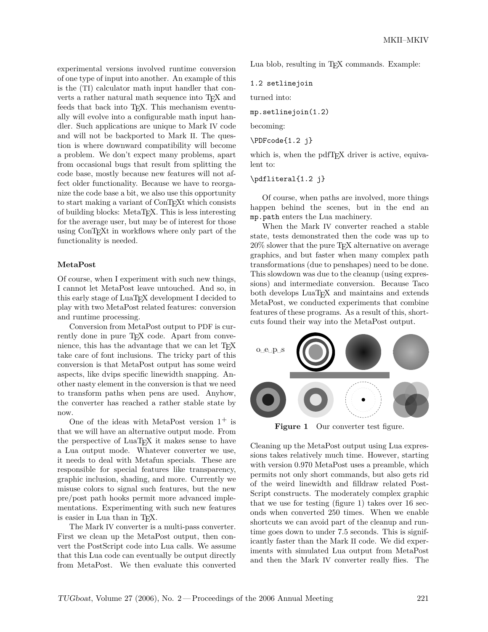experimental versions involved runtime conversion of one type of input into another. An example of this is the (TI) calculator math input handler that converts a rather natural math sequence into T<sub>E</sub>X and feeds that back into T<sub>F</sub>X. This mechanism eventually will evolve into a configurable math input handler. Such applications are unique to Mark IV code and will not be backported to Mark II. The question is where downward compatibility will become a problem. We don't expect many problems, apart from occasional bugs that result from splitting the code base, mostly because new features will not affect older functionality. Because we have to reorganize the code base a bit, we also use this opportunity to start making a variant of ConTEXt which consists of building blocks: MetaTEX. This is less interesting for the average user, but may be of interest for those using ConT<sub>E</sub>X<sup>t</sup> in workflows where only part of the functionality is needed.

#### **MetaPost**

Of course, when I experiment with such new things, I cannot let MetaPost leave untouched. And so, in this early stage of LuaT<sub>EX</sub> development I decided to play with two MetaPost related features: conversion and runtime processing.

Conversion from MetaPost output to PDF is currently done in pure T<sub>E</sub>X code. Apart from convenience, this has the advantage that we can let TEX take care of font inclusions. The tricky part of this conversion is that MetaPost output has some weird aspects, like dvips specific linewidth snapping. Another nasty element in the conversion is that we need to transform paths when pens are used. Anyhow, the converter has reached a rather stable state by now.

One of the ideas with MetaPost version  $1^+$  is that we will have an alternative output mode. From the perspective of LuaT<sub>EX</sub> it makes sense to have a Lua output mode. Whatever converter we use, it needs to deal with Metafun specials. These are responsible for special features like transparency, graphic inclusion, shading, and more. Currently we misuse colors to signal such features, but the new pre/post path hooks permit more advanced implementations. Experimenting with such new features is easier in Lua than in T<sub>E</sub>X.

The Mark IV converter is a multi-pass converter. First we clean up the MetaPost output, then convert the PostScript code into Lua calls. We assume that this Lua code can eventually be output directly from MetaPost. We then evaluate this converted Lua blob, resulting in T<sub>E</sub>X commands. Example:

1.2 setlinejoin

turned into:

mp.setlinejoin(1.2)

becoming:

\PDFcode{1.2 j}

which is, when the pdfT<sub>E</sub>X driver is active, equivalent to:

\pdfliteral{1.2 j}

Of course, when paths are involved, more things happen behind the scenes, but in the end an mp.path enters the Lua machinery.

When the Mark IV converter reached a stable state, tests demonstrated then the code was up to 20% slower that the pure TEX alternative on average graphics, and but faster when many complex path transformations (due to penshapes) need to be done. This slowdown was due to the cleanup (using expressions) and intermediate conversion. Because Taco both develops LuaT<sub>EX</sub> and maintains and extends MetaPost, we conducted experiments that combine features of these programs. As a result of this, shortcuts found their way into the MetaPost output.



**Figure 1** Our converter test figure.

Cleaning up the MetaPost output using Lua expressions takes relatively much time. However, starting with version 0.970 MetaPost uses a preamble, which permits not only short commands, but also gets rid of the weird linewidth and filldraw related Post-Script constructs. The moderately complex graphic that we use for testing (figure 1) takes over 16 seconds when converted 250 times. When we enable shortcuts we can avoid part of the cleanup and runtime goes down to under 7.5 seconds. This is significantly faster than the Mark II code. We did experiments with simulated Lua output from MetaPost and then the Mark IV converter really flies. The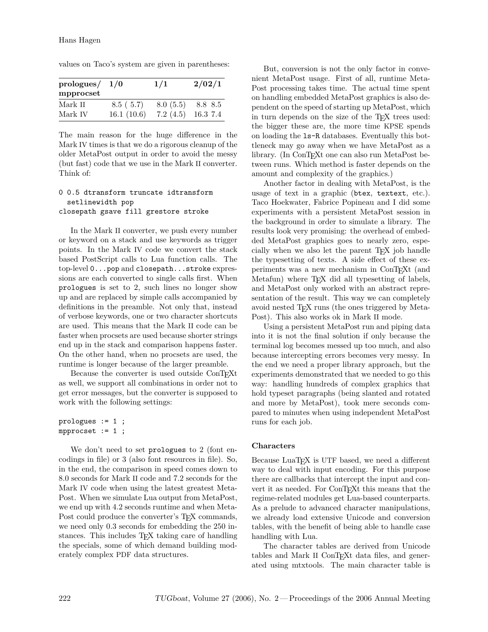| prologues/ $1/0$ |            | 1/1      | 2/02/1   |
|------------------|------------|----------|----------|
| mpprocset        |            |          |          |
| Mark II          | 8.5(5.7)   | 8.0(5.5) | 8.8 8.5  |
| Mark IV          | 16.1(10.6) | 7.2(4.5) | 16.3 7.4 |

values on Taco's system are given in parentheses:

The main reason for the huge difference in the Mark IV times is that we do a rigorous cleanup of the older MetaPost output in order to avoid the messy (but fast) code that we use in the Mark II converter. Think of:

### 0 0.5 dtransform truncate idtransform setlinewidth pop closepath gsave fill grestore stroke

In the Mark II converter, we push every number or keyword on a stack and use keywords as trigger points. In the Mark IV code we convert the stack based PostScript calls to Lua function calls. The top-level 0...pop and closepath...stroke expressions are each converted to single calls first. When prologues is set to 2, such lines no longer show up and are replaced by simple calls accompanied by definitions in the preamble. Not only that, instead of verbose keywords, one or two character shortcuts are used. This means that the Mark II code can be faster when procsets are used because shorter strings end up in the stack and comparison happens faster. On the other hand, when no procsets are used, the runtime is longer because of the larger preamble.

Because the converter is used outside ConTEXt as well, we support all combinations in order not to get error messages, but the converter is supposed to work with the following settings:

```
prologues := 1 ;
mpprocset := 1 ;
```
We don't need to set prologues to 2 (font encodings in file) or 3 (also font resources in file). So, in the end, the comparison in speed comes down to 8.0 seconds for Mark II code and 7.2 seconds for the Mark IV code when using the latest greatest Meta-Post. When we simulate Lua output from MetaPost, we end up with 4.2 seconds runtime and when Meta-Post could produce the converter's T<sub>E</sub>X commands, we need only 0.3 seconds for embedding the 250 instances. This includes T<sub>E</sub>X taking care of handling the specials, some of which demand building moderately complex PDF data structures.

But, conversion is not the only factor in convenient MetaPost usage. First of all, runtime Meta-Post processing takes time. The actual time spent on handling embedded MetaPost graphics is also dependent on the speed of starting up MetaPost, which in turn depends on the size of the T<sub>EX</sub> trees used: the bigger these are, the more time KPSE spends on loading the ls-R databases. Eventually this bottleneck may go away when we have MetaPost as a library. (In ConT<sub>E</sub>X<sub>t</sub> one can also run MetaPost between runs. Which method is faster depends on the amount and complexity of the graphics.)

Another factor in dealing with MetaPost, is the usage of text in a graphic (btex, textext, etc.). Taco Hoekwater, Fabrice Popineau and I did some experiments with a persistent MetaPost session in the background in order to simulate a library. The results look very promising: the overhead of embedded MetaPost graphics goes to nearly zero, especially when we also let the parent T<sub>E</sub>X job handle the typesetting of texts. A side effect of these experiments was a new mechanism in ConTEXt (and Metafun) where T<sub>EX</sub> did all typesetting of labels, and MetaPost only worked with an abstract representation of the result. This way we can completely avoid nested T<sub>E</sub>X runs (the ones triggered by Meta-Post). This also works ok in Mark II mode.

Using a persistent MetaPost run and piping data into it is not the final solution if only because the terminal log becomes messed up too much, and also because intercepting errors becomes very messy. In the end we need a proper library approach, but the experiments demonstrated that we needed to go this way: handling hundreds of complex graphics that hold typeset paragraphs (being slanted and rotated and more by MetaPost), took mere seconds compared to minutes when using independent MetaPost runs for each job.

#### **Characters**

Because LuaT<sub>EX</sub> is UTF based, we need a different way to deal with input encoding. For this purpose there are callbacks that intercept the input and convert it as needed. For ConT<sub>E</sub>Xt this means that the regime-related modules get Lua-based counterparts. As a prelude to advanced character manipulations, we already load extensive Unicode and conversion tables, with the benefit of being able to handle case handling with Lua.

The character tables are derived from Unicode tables and Mark II ConT<sub>E</sub>Xt data files, and generated using mtxtools. The main character table is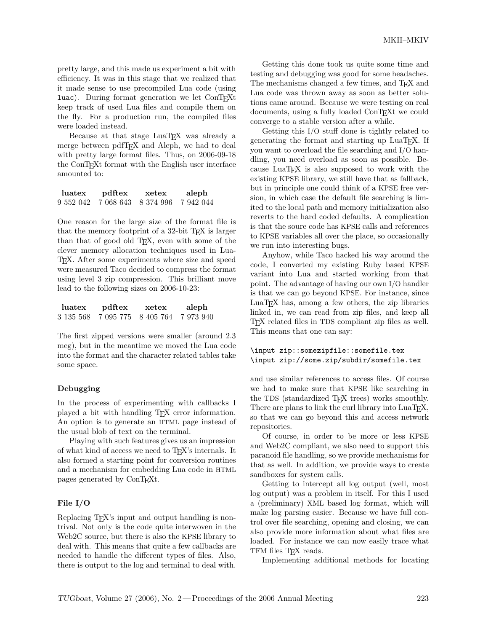pretty large, and this made us experiment a bit with efficiency. It was in this stage that we realized that it made sense to use precompiled Lua code (using luac). During format generation we let ConTEXt keep track of used Lua files and compile them on the fly. For a production run, the compiled files were loaded instead.

Because at that stage LuaT<sub>EX</sub> was already a merge between pdfT<sub>E</sub>X and Aleph, we had to deal with pretty large format files. Thus, on 2006-09-18 the ConTEXt format with the English user interface amounted to:

| luatex  | pdftex | xetex               | aleph   |
|---------|--------|---------------------|---------|
| 9552042 |        | 7 068 643 8 374 996 | 7942044 |

One reason for the large size of the format file is that the memory footprint of a 32-bit  $T_F X$  is larger than that of good old T<sub>E</sub>X, even with some of the clever memory allocation techniques used in Lua-TEX. After some experiments where size and speed were measured Taco decided to compress the format using level 3 zip compression. This brilliant move lead to the following sizes on 2006-10-23:

| luatex | pdftex                        | xetex | aleph   |
|--------|-------------------------------|-------|---------|
|        | 3 135 568 7 095 775 8 405 764 |       | 7973940 |

The first zipped versions were smaller (around 2.3 meg), but in the meantime we moved the Lua code into the format and the character related tables take some space.

#### **Debugging**

In the process of experimenting with callbacks I played a bit with handling TEX error information. An option is to generate an HTML page instead of the usual blob of text on the terminal.

Playing with such features gives us an impression of what kind of access we need to T<sub>EX</sub>'s internals. It also formed a starting point for conversion routines and a mechanism for embedding Lua code in HTML pages generated by ConT<sub>EXt</sub>.

#### **File I/O**

Replacing T<sub>EX</sub>'s input and output handling is nontrival. Not only is the code quite interwoven in the Web2C source, but there is also the KPSE library to deal with. This means that quite a few callbacks are needed to handle the different types of files. Also, there is output to the log and terminal to deal with.

Getting this done took us quite some time and testing and debugging was good for some headaches. The mechanisms changed a few times, and T<sub>E</sub>X and Lua code was thrown away as soon as better solutions came around. Because we were testing on real documents, using a fully loaded ConT<sub>EXt</sub> we could converge to a stable version after a while.

Getting this I/O stuff done is tightly related to generating the format and starting up LuaT<sub>E</sub>X. If you want to overload the file searching and I/O handling, you need overload as soon as possible. Because LuaT<sub>E</sub>X is also supposed to work with the existing KPSE library, we still have that as fallback, but in principle one could think of a KPSE free version, in which case the default file searching is limited to the local path and memory initialization also reverts to the hard coded defaults. A complication is that the soure code has KPSE calls and references to KPSE variables all over the place, so occasionally we run into interesting bugs.

Anyhow, while Taco hacked his way around the code, I converted my existing Ruby based KPSE variant into Lua and started working from that point. The advantage of having our own I/O handler is that we can go beyond KPSE. For instance, since  $LuaT<sub>F</sub>X$  has, among a few others, the zip libraries linked in, we can read from zip files, and keep all TEX related files in TDS compliant zip files as well. This means that one can say:

### \input zip::somezipfile::somefile.tex \input zip://some.zip/subdir/somefile.tex

and use similar references to access files. Of course we had to make sure that KPSE like searching in the TDS (standardized T<sub>EX</sub> trees) works smoothly. There are plans to link the curl library into LuaTEX, so that we can go beyond this and access network repositories.

Of course, in order to be more or less KPSE and Web2C compliant, we also need to support this paranoid file handling, so we provide mechanisms for that as well. In addition, we provide ways to create sandboxes for system calls.

Getting to intercept all log output (well, most log output) was a problem in itself. For this I used a (preliminary) XML based log format, which will make log parsing easier. Because we have full control over file searching, opening and closing, we can also provide more information about what files are loaded. For instance we can now easily trace what TFM files T<sub>F</sub>X reads.

Implementing additional methods for locating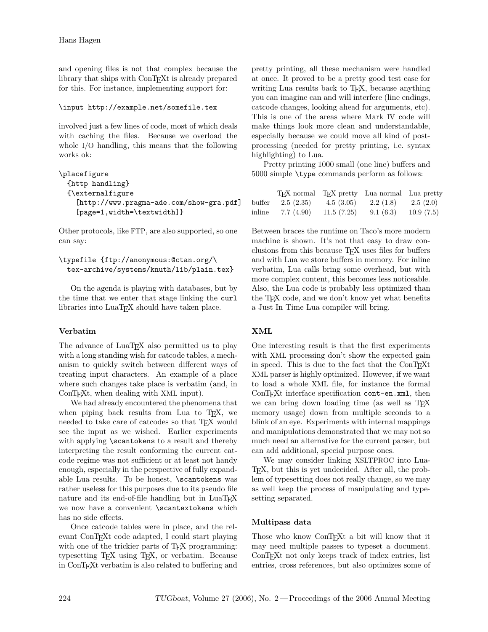and opening files is not that complex because the library that ships with ConT<sub>E</sub>X<sub>t</sub> is already prepared for this. For instance, implementing support for:

### \input http://example.net/somefile.tex

involved just a few lines of code, most of which deals with caching the files. Because we overload the whole I/O handling, this means that the following works ok:

```
\placefigure
 {http handling}
 {\externalfigure
    [http://www.pragma-ade.com/show-gra.pdf]
    [page=1,width=\textwidth]}
```
Other protocols, like FTP, are also supported, so one can say:

```
\typefile {ftp://anonymous:@ctan.org/\
 tex-archive/systems/knuth/lib/plain.tex}
```
On the agenda is playing with databases, but by the time that we enter that stage linking the curl libraries into LuaT<sub>E</sub>X should have taken place.

# **Verbatim**

The advance of LuaT<sub>EX</sub> also permitted us to play with a long standing wish for catcode tables, a mechanism to quickly switch between different ways of treating input characters. An example of a place where such changes take place is verbatim (and, in ConT<sub>E</sub>X<sub>t</sub>, when dealing with XML input).

We had already encountered the phenomena that when piping back results from Lua to T<sub>E</sub>X, we needed to take care of catcodes so that T<sub>E</sub>X would see the input as we wished. Earlier experiments with applying \scantokens to a result and thereby interpreting the result conforming the current catcode regime was not sufficient or at least not handy enough, especially in the perspective of fully expandable Lua results. To be honest, \scantokens was rather useless for this purposes due to its pseudo file nature and its end-of-file handling but in  $LuaT_FX$ we now have a convenient \scantextokens which has no side effects.

Once catcode tables were in place, and the relevant ConT<sub>E</sub>Xt code adapted, I could start playing with one of the trickier parts of T<sub>E</sub>X programming: typesetting T<sub>EX</sub> using T<sub>EX</sub>, or verbatim. Because in ConTEXt verbatim is also related to buffering and pretty printing, all these mechanism were handled at once. It proved to be a pretty good test case for writing Lua results back to T<sub>E</sub>X, because anything you can imagine can and will interfere (line endings, catcode changes, looking ahead for arguments, etc). This is one of the areas where Mark IV code will make things look more clean and understandable, especially because we could move all kind of postprocessing (needed for pretty printing, i.e. syntax highlighting) to Lua.

Pretty printing 1000 small (one line) buffers and 5000 simple \type commands perform as follows:

|        |           |            | T <sub>F</sub> X normal T <sub>F</sub> X pretty Lua normal Lua pretty |           |
|--------|-----------|------------|-----------------------------------------------------------------------|-----------|
| buffer | 2.5(2.35) | 4.5(3.05)  | 2.2(1.8)                                                              | 2.5(2.0)  |
| inline | 7.7(4.90) | 11.5(7.25) | 9.1(6.3)                                                              | 10.9(7.5) |

Between braces the runtime on Taco's more modern machine is shown. It's not that easy to draw conclusions from this because TEX uses files for buffers and with Lua we store buffers in memory. For inline verbatim, Lua calls bring some overhead, but with more complex content, this becomes less noticeable. Also, the Lua code is probably less optimized than the T<sub>E</sub>X code, and we don't know yet what benefits a Just In Time Lua compiler will bring.

# **XML**

One interesting result is that the first experiments with XML processing don't show the expected gain in speed. This is due to the fact that the ConTEXt XML parser is highly optimized. However, if we want to load a whole XML file, for instance the formal ConT<sub>E</sub>Xt interface specification cont-en.xml, then we can bring down loading time (as well as TFX memory usage) down from multiple seconds to a blink of an eye. Experiments with internal mappings and manipulations demonstrated that we may not so much need an alternative for the current parser, but can add additional, special purpose ones.

We may consider linking XSLTPROC into Lua-TEX, but this is yet undecided. After all, the problem of typesetting does not really change, so we may as well keep the process of manipulating and typesetting separated.

# **Multipass data**

Those who know ConT<sub>E</sub>Xt a bit will know that it may need multiple passes to typeset a document. ConT<sub>E</sub>Xt not only keeps track of index entries, list entries, cross references, but also optimizes some of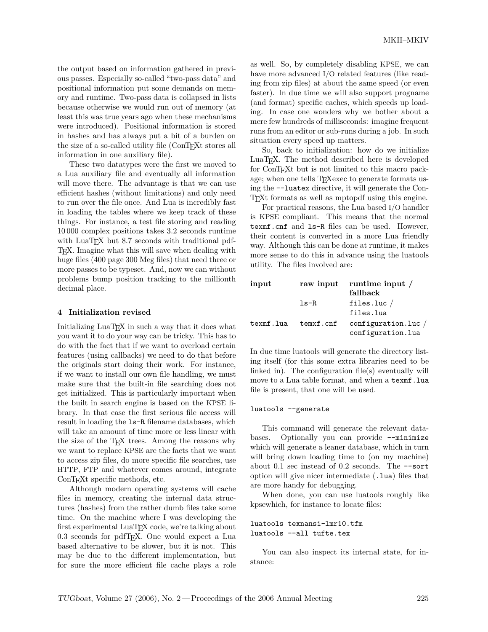the output based on information gathered in previous passes. Especially so-called "two-pass data" and positional information put some demands on memory and runtime. Two-pass data is collapsed in lists because otherwise we would run out of memory (at least this was true years ago when these mechanisms were introduced). Positional information is stored in hashes and has always put a bit of a burden on the size of a so-called utility file (ConTEXt stores all information in one auxiliary file).

These two datatypes were the first we moved to a Lua auxiliary file and eventually all information will move there. The advantage is that we can use efficient hashes (without limitations) and only need to run over the file once. And Lua is incredibly fast in loading the tables where we keep track of these things. For instance, a test file storing and reading 10 000 complex positions takes 3.2 seconds runtime with LuaTEX but 8.7 seconds with traditional pdf-TEX. Imagine what this will save when dealing with huge files (400 page 300 Meg files) that need three or more passes to be typeset. And, now we can without problems bump position tracking to the millionth decimal place.

#### **4 Initialization revised**

Initializing LuaT<sub>EX</sub> in such a way that it does what you want it to do your way can be tricky. This has to do with the fact that if we want to overload certain features (using callbacks) we need to do that before the originals start doing their work. For instance, if we want to install our own file handling, we must make sure that the built-in file searching does not get initialized. This is particularly important when the built in search engine is based on the KPSE library. In that case the first serious file access will result in loading the ls-R filename databases, which will take an amount of time more or less linear with the size of the T<sub>F</sub>X trees. Among the reasons why we want to replace KPSE are the facts that we want to access zip files, do more specific file searches, use HTTP, FTP and whatever comes around, integrate ConT<sub>EX</sub>t specific methods, etc.

Although modern operating systems will cache files in memory, creating the internal data structures (hashes) from the rather dumb files take some time. On the machine where I was developing the first experimental LuaT<sub>E</sub>X code, we're talking about 0.3 seconds for pdfTEX. One would expect a Lua based alternative to be slower, but it is not. This may be due to the different implementation, but for sure the more efficient file cache plays a role as well. So, by completely disabling KPSE, we can have more advanced I/O related features (like reading from zip files) at about the same speed (or even faster). In due time we will also support progname (and format) specific caches, which speeds up loading. In case one wonders why we bother about a mere few hundreds of milliseconds: imagine frequent runs from an editor or sub-runs during a job. In such situation every speed up matters.

So, back to initialization: how do we initialize LuaT<sub>EX</sub>. The method described here is developed for ConTEXt but is not limited to this macro package; when one tells T<sub>E</sub>Xexec to generate formats using the --luatex directive, it will generate the Con-TEXt formats as well as mptopdf using this engine.

For practical reasons, the Lua based I/O handler is KPSE compliant. This means that the normal texmf.cnf and ls-R files can be used. However, their content is converted in a more Lua friendly way. Although this can be done at runtime, it makes more sense to do this in advance using the luatools utility. The files involved are:

| input     |           | raw input runtime input /     |
|-----------|-----------|-------------------------------|
|           |           | fallback                      |
|           | $1s-R$    | files.luc $/$                 |
|           |           | files.lua                     |
| texmf.lua | temxf.cnf | $\text{configuration}.$ luc / |
|           |           | configuration.lua             |

In due time luatools will generate the directory listing itself (for this some extra libraries need to be linked in). The configuration file(s) eventually will move to a Lua table format, and when a texmf.lua file is present, that one will be used.

#### luatools --generate

This command will generate the relevant databases. Optionally you can provide --minimize which will generate a leaner database, which in turn will bring down loading time to (on my machine) about  $0.1$  sec instead of  $0.2$  seconds. The  $-$ -sort option will give nicer intermediate (.lua) files that are more handy for debugging.

When done, you can use luatools roughly like kpsewhich, for instance to locate files:

```
luatools texnansi-lmr10.tfm
luatools --all tufte.tex
```
You can also inspect its internal state, for instance: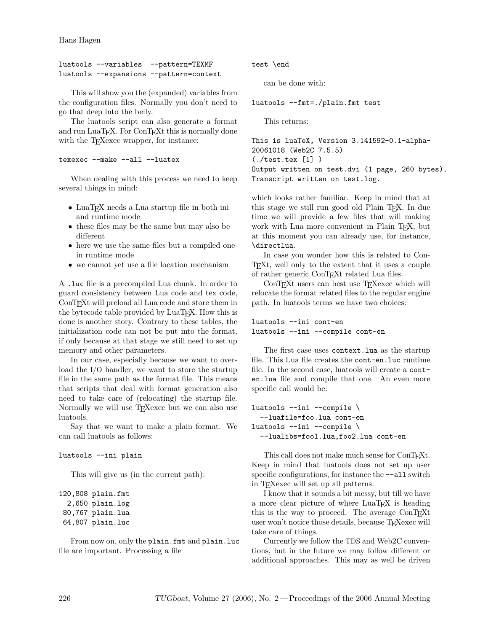Hans Hagen

```
luatools --variables --pattern=TEXMF
luatools --expansions --pattern=context
```
This will show you the (expanded) variables from the configuration files. Normally you don't need to go that deep into the belly.

The luatools script can also generate a format and run LuaTEX. For ConTEXt this is normally done with the T<sub>E</sub>Xexec wrapper, for instance:

```
texexec --make --all --luatex
```
When dealing with this process we need to keep several things in mind:

- LuaT<sub>E</sub>X needs a Lua startup file in both ini and runtime mode
- these files may be the same but may also be different
- here we use the same files but a compiled one in runtime mode
- we cannot yet use a file location mechanism

A .luc file is a precompiled Lua chunk. In order to guard consistency between Lua code and tex code, ConT<sub>E</sub>Xt will preload all Lua code and store them in the bytecode table provided by LuaT<sub>E</sub>X. How this is done is another story. Contrary to these tables, the initialization code can not be put into the format, if only because at that stage we still need to set up memory and other parameters.

In our case, especially because we want to overload the I/O handler, we want to store the startup file in the same path as the format file. This means that scripts that deal with format generation also need to take care of (relocating) the startup file. Normally we will use T<sub>E</sub>Xexec but we can also use luatools.

Say that we want to make a plain format. We can call luatools as follows:

```
luatools --ini plain
```
This will give us (in the current path):

```
120,808 plain.fmt
 2,650 plain.log
80,767 plain.lua
64,807 plain.luc
```
From now on, only the plain.fmt and plain.luc file are important. Processing a file

test \end

can be done with:

luatools --fmt=./plain.fmt test

This returns:

```
This is luaTeX, Version 3.141592-0.1-alpha-
20061018 (Web2C 7.5.5)
(./test.tex [1] )
Output written on test.dvi (1 page, 260 bytes).
Transcript written on test.log.
```
which looks rather familiar. Keep in mind that at this stage we still run good old Plain TEX. In due time we will provide a few files that will making work with Lua more convenient in Plain TEX, but at this moment you can already use, for instance, \directlua.

In case you wonder how this is related to Con-TEXt, well only to the extent that it uses a couple of rather generic ConTFXt related Lua files.

ConTEXt users can best use TEXexec which will relocate the format related files to the regular engine path. In luatools terms we have two choices:

```
luatools --ini cont-en
luatools --ini --compile cont-en
```
The first case uses context.lua as the startup file. This Lua file creates the cont-en.luc runtime file. In the second case, luatools will create a conten.lua file and compile that one. An even more specific call would be:

```
luatools --ini --compile \
  --luafile=foo.lua cont-en
luatools --ini --compile \
  --lualibs=foo1.lua,foo2.lua cont-en
```
This call does not make much sense for ConTEXt. Keep in mind that luatools does not set up user specific configurations, for instance the  $--a11$  switch in TEXexec will set up all patterns.

I know that it sounds a bit messy, but till we have a more clear picture of where LuaT<sub>E</sub>X is heading this is the way to proceed. The average ConTEXt user won't notice those details, because T<sub>E</sub>Xexec will take care of things.

Currently we follow the TDS and Web2C conventions, but in the future we may follow different or additional approaches. This may as well be driven